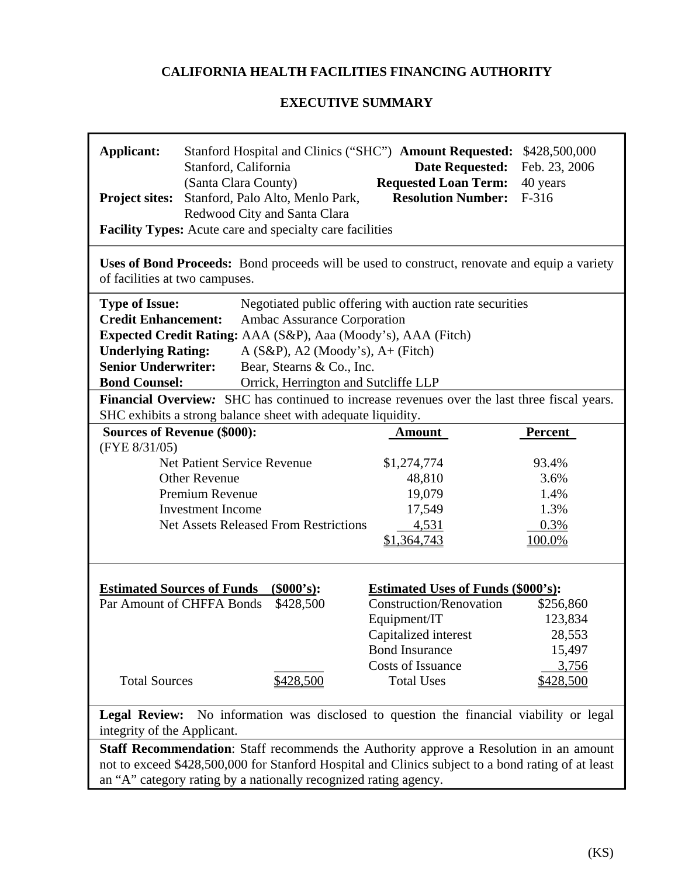# **CALIFORNIA HEALTH FACILITIES FINANCING AUTHORITY**

## **EXECUTIVE SUMMARY**

| <b>Applicant:</b><br>Project sites:                                                                                              | Stanford Hospital and Clinics ("SHC") Amount Requested:<br>Stanford, California<br>(Santa Clara County)<br>Stanford, Palo Alto, Menlo Park,<br>Redwood City and Santa Clara                                                                                      | <b>Date Requested:</b><br><b>Requested Loan Term:</b><br><b>Resolution Number:</b> | \$428,500,000<br>Feb. 23, 2006<br>40 years<br>F-316 |  |  |  |  |  |  |  |
|----------------------------------------------------------------------------------------------------------------------------------|------------------------------------------------------------------------------------------------------------------------------------------------------------------------------------------------------------------------------------------------------------------|------------------------------------------------------------------------------------|-----------------------------------------------------|--|--|--|--|--|--|--|
|                                                                                                                                  | <b>Facility Types:</b> Acute care and specialty care facilities                                                                                                                                                                                                  |                                                                                    |                                                     |  |  |  |  |  |  |  |
|                                                                                                                                  | Uses of Bond Proceeds: Bond proceeds will be used to construct, renovate and equip a variety<br>of facilities at two campuses.                                                                                                                                   |                                                                                    |                                                     |  |  |  |  |  |  |  |
|                                                                                                                                  | <b>Type of Issue:</b><br>Negotiated public offering with auction rate securities                                                                                                                                                                                 |                                                                                    |                                                     |  |  |  |  |  |  |  |
| <b>Credit Enhancement:</b>                                                                                                       | Ambac Assurance Corporation                                                                                                                                                                                                                                      |                                                                                    |                                                     |  |  |  |  |  |  |  |
|                                                                                                                                  | Expected Credit Rating: AAA (S&P), Aaa (Moody's), AAA (Fitch)                                                                                                                                                                                                    |                                                                                    |                                                     |  |  |  |  |  |  |  |
| <b>Underlying Rating:</b>                                                                                                        | $A(S\&P), A2 (Moody's), A+(Fitch)$                                                                                                                                                                                                                               |                                                                                    |                                                     |  |  |  |  |  |  |  |
| <b>Senior Underwriter:</b>                                                                                                       | Bear, Stearns & Co., Inc.                                                                                                                                                                                                                                        |                                                                                    |                                                     |  |  |  |  |  |  |  |
| <b>Bond Counsel:</b>                                                                                                             | Orrick, Herrington and Sutcliffe LLP                                                                                                                                                                                                                             |                                                                                    |                                                     |  |  |  |  |  |  |  |
|                                                                                                                                  | Financial Overview: SHC has continued to increase revenues over the last three fiscal years.<br>SHC exhibits a strong balance sheet with adequate liquidity.                                                                                                     |                                                                                    |                                                     |  |  |  |  |  |  |  |
|                                                                                                                                  | <b>Sources of Revenue (\$000):</b>                                                                                                                                                                                                                               |                                                                                    | <b>Percent</b>                                      |  |  |  |  |  |  |  |
| (FYE 8/31/05)                                                                                                                    |                                                                                                                                                                                                                                                                  | <b>Amount</b>                                                                      |                                                     |  |  |  |  |  |  |  |
|                                                                                                                                  | <b>Net Patient Service Revenue</b>                                                                                                                                                                                                                               | \$1,274,774                                                                        | 93.4%                                               |  |  |  |  |  |  |  |
|                                                                                                                                  | <b>Other Revenue</b>                                                                                                                                                                                                                                             | 48,810                                                                             | 3.6%                                                |  |  |  |  |  |  |  |
|                                                                                                                                  | Premium Revenue                                                                                                                                                                                                                                                  | 19,079                                                                             | 1.4%                                                |  |  |  |  |  |  |  |
|                                                                                                                                  | <b>Investment Income</b>                                                                                                                                                                                                                                         | 17,549                                                                             | 1.3%                                                |  |  |  |  |  |  |  |
|                                                                                                                                  | <b>Net Assets Released From Restrictions</b>                                                                                                                                                                                                                     | 4,531                                                                              | 0.3%                                                |  |  |  |  |  |  |  |
|                                                                                                                                  |                                                                                                                                                                                                                                                                  | \$1,364,743                                                                        | 100.0%                                              |  |  |  |  |  |  |  |
|                                                                                                                                  |                                                                                                                                                                                                                                                                  |                                                                                    |                                                     |  |  |  |  |  |  |  |
|                                                                                                                                  | ( <b>§000's</b> ):<br><b>Estimated Sources of Funds</b>                                                                                                                                                                                                          | <b>Estimated Uses of Funds (\$000's):</b>                                          |                                                     |  |  |  |  |  |  |  |
|                                                                                                                                  | Par Amount of CHFFA Bonds<br>\$428,500                                                                                                                                                                                                                           | <b>Construction/Renovation</b>                                                     | \$256,860                                           |  |  |  |  |  |  |  |
|                                                                                                                                  |                                                                                                                                                                                                                                                                  | Equipment/IT                                                                       | 123,834                                             |  |  |  |  |  |  |  |
|                                                                                                                                  |                                                                                                                                                                                                                                                                  | Capitalized interest<br><b>Bond Insurance</b>                                      | 28,553<br>15,497                                    |  |  |  |  |  |  |  |
|                                                                                                                                  |                                                                                                                                                                                                                                                                  | <b>Costs of Issuance</b>                                                           | 3,756                                               |  |  |  |  |  |  |  |
| <b>Total Sources</b>                                                                                                             | \$428,500                                                                                                                                                                                                                                                        | <b>Total Uses</b>                                                                  | \$428,500                                           |  |  |  |  |  |  |  |
|                                                                                                                                  |                                                                                                                                                                                                                                                                  |                                                                                    |                                                     |  |  |  |  |  |  |  |
| No information was disclosed to question the financial viability or legal<br><b>Legal Review:</b><br>integrity of the Applicant. |                                                                                                                                                                                                                                                                  |                                                                                    |                                                     |  |  |  |  |  |  |  |
|                                                                                                                                  | Staff Recommendation: Staff recommends the Authority approve a Resolution in an amount<br>not to exceed \$428,500,000 for Stanford Hospital and Clinics subject to a bond rating of at least<br>an "A" category rating by a nationally recognized rating agency. |                                                                                    |                                                     |  |  |  |  |  |  |  |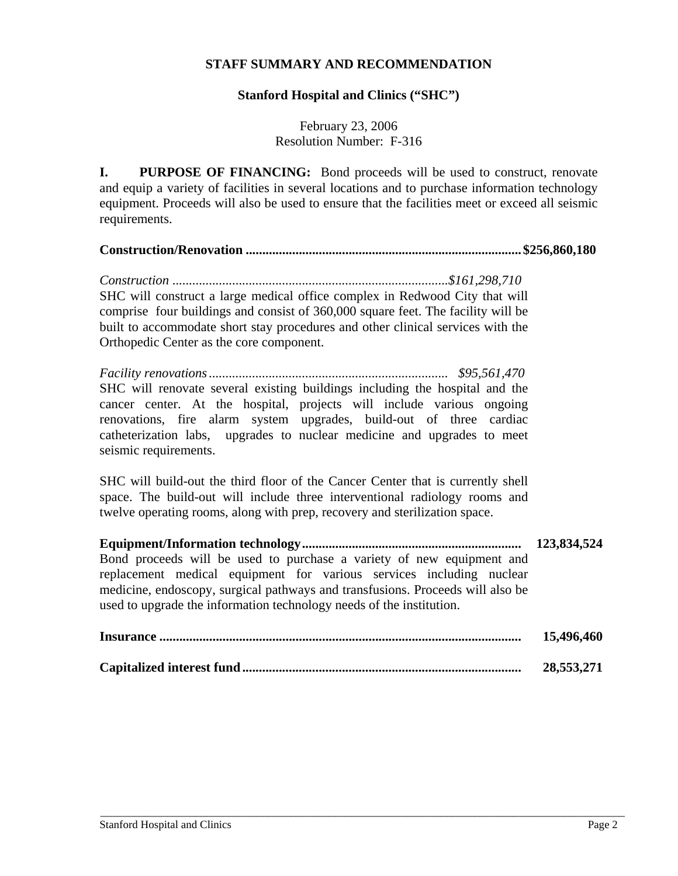## **STAFF SUMMARY AND RECOMMENDATION**

### **Stanford Hospital and Clinics ("SHC")**

February 23, 2006 Resolution Number: F-316

**I.** PURPOSE OF FINANCING: Bond proceeds will be used to construct, renovate and equip a variety of facilities in several locations and to purchase information technology equipment. Proceeds will also be used to ensure that the facilities meet or exceed all seismic requirements.

**Construction/Renovation ................................................................................... \$256,860,180** 

*Construction ...................................................................................\$161,298,710*  SHC will construct a large medical office complex in Redwood City that will comprise four buildings and consist of 360,000 square feet. The facility will be built to accommodate short stay procedures and other clinical services with the Orthopedic Center as the core component.

*Facility renovations ........................................................................ \$95,561,470*  SHC will renovate several existing buildings including the hospital and the cancer center. At the hospital, projects will include various ongoing renovations, fire alarm system upgrades, build-out of three cardiac catheterization labs, upgrades to nuclear medicine and upgrades to meet seismic requirements.

SHC will build-out the third floor of the Cancer Center that is currently shell space. The build-out will include three interventional radiology rooms and twelve operating rooms, along with prep, recovery and sterilization space.

**Equipment/Information technology .................................................................. 123,834,524**  Bond proceeds will be used to purchase a variety of new equipment and replacement medical equipment for various services including nuclear medicine, endoscopy, surgical pathways and transfusions. Proceeds will also be used to upgrade the information technology needs of the institution.

| 15,496,460 |
|------------|
| 28,553,271 |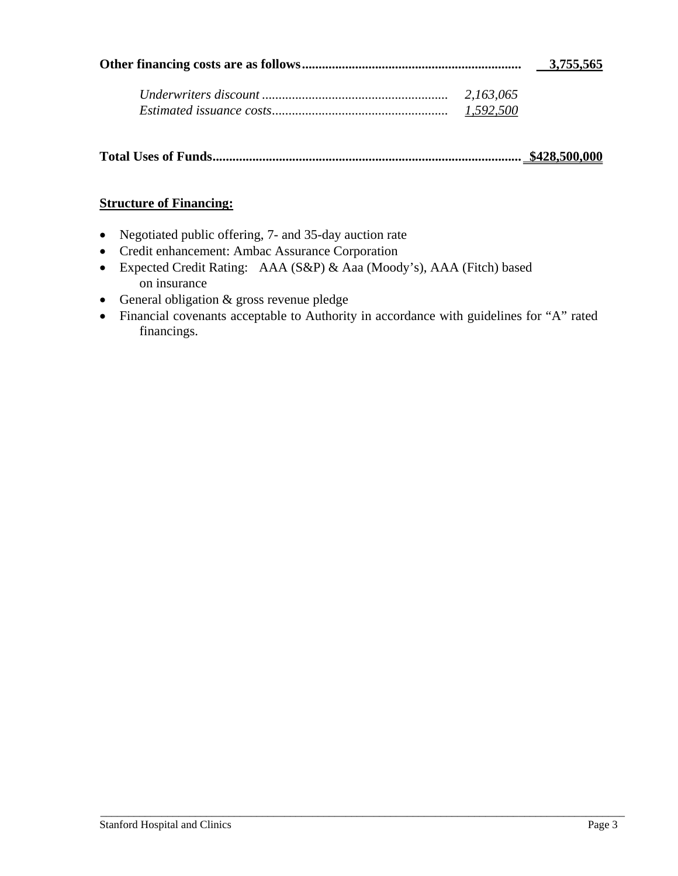| 3,755,565 |
|-----------|
|           |

| 2,163,065 |
|-----------|
| 1,592,500 |

| \$428,500,000 |
|---------------|
|               |

# **Structure of Financing:**

- Negotiated public offering, 7- and 35-day auction rate
- Credit enhancement: Ambac Assurance Corporation
- Expected Credit Rating: AAA (S&P) & Aaa (Moody's), AAA (Fitch) based on insurance
- General obligation & gross revenue pledge
- Financial covenants acceptable to Authority in accordance with guidelines for "A" rated financings.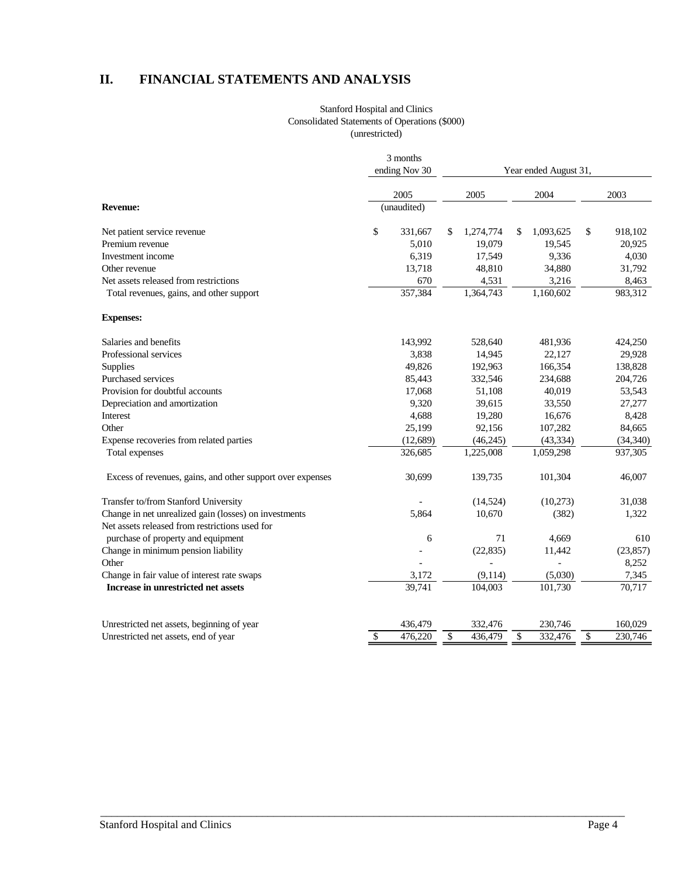# **II. FINANCIAL STATEMENTS AND ANALYSIS**

#### Stanford Hospital and Clinics Consolidated Statements of Operations (\$000) (unrestricted)

|                                                            | 3 months<br>ending Nov 30 |             |                       |                |    |           |    |           |  |
|------------------------------------------------------------|---------------------------|-------------|-----------------------|----------------|----|-----------|----|-----------|--|
|                                                            |                           |             | Year ended August 31, |                |    |           |    |           |  |
|                                                            |                           | 2005        |                       | 2005           |    | 2004      |    | 2003      |  |
| <b>Revenue:</b>                                            |                           | (unaudited) |                       |                |    |           |    |           |  |
| Net patient service revenue                                | \$                        | 331,667     | \$                    | 1,274,774      | \$ | 1,093,625 | \$ | 918,102   |  |
| Premium revenue                                            |                           | 5,010       |                       | 19,079         |    | 19,545    |    | 20,925    |  |
| Investment income                                          |                           | 6,319       |                       | 17,549         |    | 9,336     |    | 4,030     |  |
| Other revenue                                              |                           | 13,718      |                       | 48,810         |    | 34,880    |    | 31,792    |  |
| Net assets released from restrictions                      |                           | 670         |                       | 4,531          |    | 3,216     |    | 8,463     |  |
| Total revenues, gains, and other support                   |                           | 357,384     |                       | 1,364,743      |    | 1,160,602 |    | 983,312   |  |
| <b>Expenses:</b>                                           |                           |             |                       |                |    |           |    |           |  |
| Salaries and benefits                                      |                           | 143,992     |                       | 528,640        |    | 481,936   |    | 424,250   |  |
| Professional services                                      |                           | 3,838       |                       | 14,945         |    | 22,127    |    | 29,928    |  |
| <b>Supplies</b>                                            |                           | 49,826      |                       | 192,963        |    | 166,354   |    | 138,828   |  |
| Purchased services                                         |                           | 85,443      |                       | 332,546        |    | 234,688   |    | 204,726   |  |
| Provision for doubtful accounts                            |                           | 17,068      |                       | 51,108         |    | 40,019    |    | 53,543    |  |
| Depreciation and amortization                              |                           | 9,320       |                       | 39,615         |    | 33,550    |    | 27,277    |  |
| Interest                                                   |                           | 4,688       |                       | 19,280         |    | 16,676    |    | 8,428     |  |
| Other                                                      |                           | 25,199      |                       | 92,156         |    | 107,282   |    | 84,665    |  |
| Expense recoveries from related parties                    |                           | (12,689)    |                       | (46, 245)      |    | (43, 334) |    | (34, 340) |  |
| Total expenses                                             |                           | 326,685     |                       | 1,225,008      |    | 1,059,298 |    | 937,305   |  |
| Excess of revenues, gains, and other support over expenses |                           | 30,699      |                       | 139,735        |    | 101,304   |    | 46,007    |  |
| Transfer to/from Stanford University                       |                           |             |                       | (14,524)       |    | (10,273)  |    | 31,038    |  |
| Change in net unrealized gain (losses) on investments      |                           | 5.864       |                       | 10,670         |    | (382)     |    | 1,322     |  |
| Net assets released from restrictions used for             |                           |             |                       |                |    |           |    |           |  |
| purchase of property and equipment                         |                           | 6           |                       | 71             |    | 4,669     |    | 610       |  |
| Change in minimum pension liability                        |                           |             |                       | (22, 835)      |    | 11,442    |    | (23, 857) |  |
| Other                                                      |                           |             |                       | $\overline{a}$ |    |           |    | 8,252     |  |
| Change in fair value of interest rate swaps                |                           | 3,172       |                       | (9,114)        |    | (5,030)   |    | 7,345     |  |
| Increase in unrestricted net assets                        |                           | 39,741      |                       | 104,003        |    | 101,730   |    | 70,717    |  |
| Unrestricted net assets, beginning of year                 |                           | 436,479     |                       | 332,476        |    | 230,746   |    | 160,029   |  |
| Unrestricted net assets, end of year                       | \$                        | 476,220     | \$                    | 436,479        | \$ | 332,476   | \$ | 230,746   |  |
|                                                            |                           |             |                       |                |    |           |    |           |  |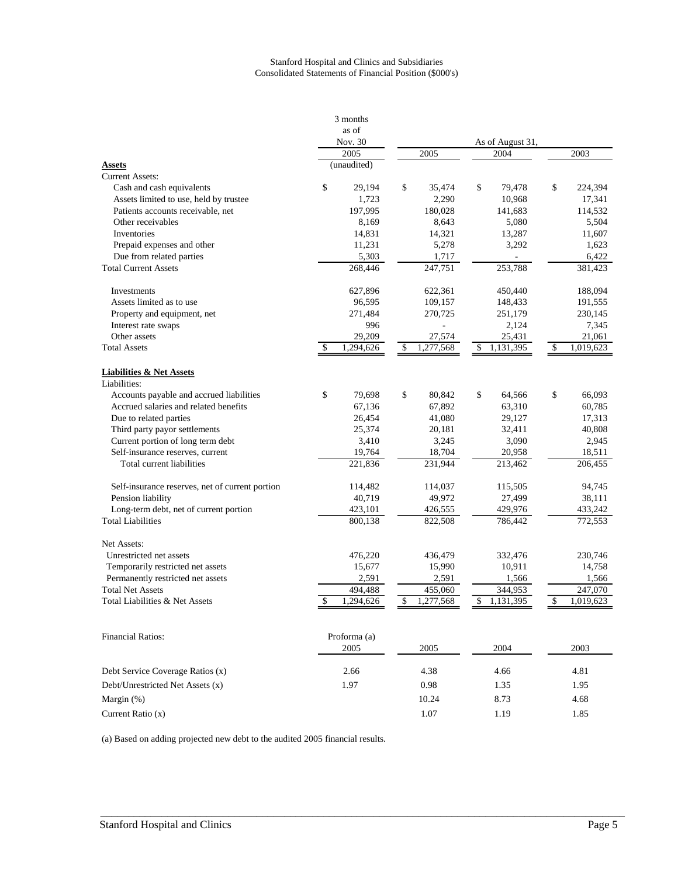#### Stanford Hospital and Clinics and Subsidiaries Consolidated Statements of Financial Position (\$000's)

|                                                     |                 | 3 months     |                    |           |                          |           |         |           |  |
|-----------------------------------------------------|-----------------|--------------|--------------------|-----------|--------------------------|-----------|---------|-----------|--|
|                                                     | as of           |              |                    |           |                          |           |         |           |  |
|                                                     | Nov. 30<br>2005 |              | 2005               |           | As of August 31,<br>2004 |           |         | 2003      |  |
| <b>Assets</b>                                       |                 | (unaudited)  |                    |           |                          |           |         |           |  |
| <b>Current Assets:</b>                              |                 |              |                    |           |                          |           |         |           |  |
| Cash and cash equivalents                           | \$              | 29,194       | \$                 | 35,474    | \$                       | 79,478    | \$      | 224,394   |  |
| Assets limited to use, held by trustee              |                 | 1,723        |                    | 2,290     |                          | 10,968    |         | 17,341    |  |
| Patients accounts receivable, net                   |                 | 197,995      |                    | 180,028   |                          | 141,683   |         | 114,532   |  |
| Other receivables                                   |                 | 8,169        |                    | 8,643     |                          | 5,080     |         | 5,504     |  |
| Inventories                                         |                 | 14,831       |                    | 14,321    |                          | 13,287    |         | 11,607    |  |
| Prepaid expenses and other                          |                 | 11,231       |                    | 5,278     |                          | 3,292     |         | 1,623     |  |
| Due from related parties                            |                 | 5,303        |                    | 1,717     |                          |           |         | 6,422     |  |
| <b>Total Current Assets</b>                         |                 | 268,446      | 253,788<br>247,751 |           |                          |           | 381,423 |           |  |
|                                                     |                 |              |                    |           |                          |           |         |           |  |
| Investments                                         |                 | 627,896      |                    | 622,361   |                          | 450,440   |         | 188,094   |  |
| Assets limited as to use                            |                 | 96,595       |                    | 109,157   |                          | 148,433   |         | 191,555   |  |
| Property and equipment, net                         |                 | 271,484      |                    | 270,725   |                          | 251,179   |         | 230,145   |  |
| Interest rate swaps                                 |                 | 996          |                    |           |                          | 2,124     |         | 7,345     |  |
| Other assets                                        |                 | 29,209       |                    | 27,574    |                          | 25,431    |         | 21,061    |  |
| <b>Total Assets</b>                                 | \$.             | 1,294,626    | \$                 | 1,277,568 | \$                       | 1,131,395 | \$      | 1,019,623 |  |
| <b>Liabilities &amp; Net Assets</b><br>Liabilities: |                 |              |                    |           |                          |           |         |           |  |
| Accounts payable and accrued liabilities            | \$              | 79.698       | \$                 | 80,842    | \$                       | 64,566    | \$      | 66,093    |  |
| Accrued salaries and related benefits               |                 | 67,136       |                    | 67,892    |                          | 63,310    |         | 60,785    |  |
| Due to related parties                              |                 | 26,454       |                    | 41,080    |                          | 29,127    |         | 17,313    |  |
| Third party payor settlements                       |                 | 25,374       |                    | 20,181    |                          | 32,411    |         | 40,808    |  |
| Current portion of long term debt                   |                 | 3,410        |                    | 3,245     |                          | 3,090     |         | 2,945     |  |
| Self-insurance reserves, current                    |                 | 19,764       |                    | 18,704    |                          | 20,958    |         | 18,511    |  |
| Total current liabilities                           |                 | 221,836      |                    | 231,944   |                          | 213,462   |         | 206,455   |  |
|                                                     |                 |              |                    |           |                          |           |         |           |  |
| Self-insurance reserves, net of current portion     |                 | 114,482      |                    | 114,037   |                          | 115,505   |         | 94,745    |  |
| Pension liability                                   |                 | 40,719       |                    | 49,972    |                          | 27,499    |         | 38,111    |  |
| Long-term debt, net of current portion              | 423,101         |              | 426,555            |           | 429,976                  |           | 433,242 |           |  |
| <b>Total Liabilities</b>                            |                 | 800,138      |                    | 822,508   |                          | 786,442   |         | 772,553   |  |
| Net Assets:                                         |                 |              |                    |           |                          |           |         |           |  |
| Unrestricted net assets                             |                 | 476,220      |                    | 436,479   |                          | 332,476   |         | 230,746   |  |
| Temporarily restricted net assets                   |                 | 15,677       |                    | 15,990    |                          | 10,911    |         | 14,758    |  |
| Permanently restricted net assets                   |                 | 2,591        |                    | 2,591     |                          | 1,566     |         | 1,566     |  |
| <b>Total Net Assets</b>                             |                 | 494,488      |                    | 455,060   |                          | 344,953   |         | 247,070   |  |
| Total Liabilities & Net Assets                      | \$              | 1,294,626    | \$                 | 1,277,568 | \$                       | 1,131,395 | \$      | 1,019,623 |  |
| <b>Financial Ratios:</b>                            |                 | Proforma (a) |                    |           |                          |           |         |           |  |
|                                                     |                 | 2005         |                    | 2005      |                          | 2004      |         | 2003      |  |
| Debt Service Coverage Ratios (x)                    |                 | 2.66         |                    | 4.38      |                          | 4.66      |         | 4.81      |  |
| Debt/Unrestricted Net Assets (x)                    | 1.97            |              |                    | 0.98      |                          | 1.35      |         | 1.95      |  |
| Margin $(\%)$                                       |                 |              |                    | 10.24     | 8.73                     |           | 4.68    |           |  |
| Current Ratio (x)                                   |                 |              |                    | 1.07      |                          | 1.19      |         | 1.85      |  |

\_\_\_\_\_\_\_\_\_\_\_\_\_\_\_\_\_\_\_\_\_\_\_\_\_\_\_\_\_\_\_\_\_\_\_\_\_\_\_\_\_\_\_\_\_\_\_\_\_\_\_\_\_\_\_\_\_\_\_\_\_\_\_\_\_\_\_\_\_\_\_\_\_\_\_\_\_\_\_\_\_\_\_\_\_\_\_\_\_\_\_\_\_\_

(a) Based on adding projected new debt to the audited 2005 financial results.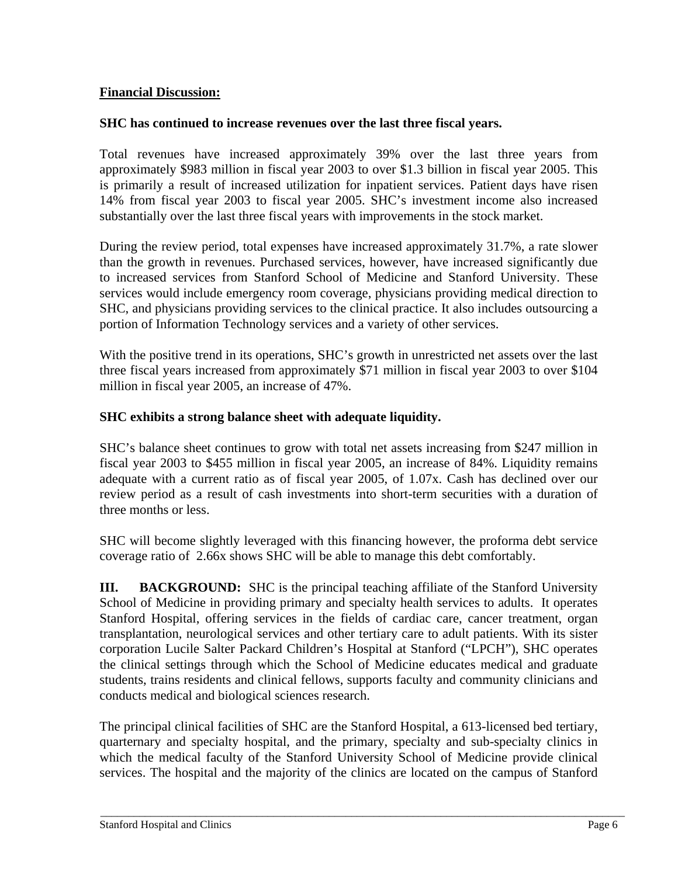# **Financial Discussion:**

## **SHC has continued to increase revenues over the last three fiscal years.**

Total revenues have increased approximately 39% over the last three years from approximately \$983 million in fiscal year 2003 to over \$1.3 billion in fiscal year 2005. This is primarily a result of increased utilization for inpatient services. Patient days have risen 14% from fiscal year 2003 to fiscal year 2005. SHC's investment income also increased substantially over the last three fiscal years with improvements in the stock market.

During the review period, total expenses have increased approximately 31.7%, a rate slower than the growth in revenues. Purchased services, however, have increased significantly due to increased services from Stanford School of Medicine and Stanford University. These services would include emergency room coverage, physicians providing medical direction to SHC, and physicians providing services to the clinical practice. It also includes outsourcing a portion of Information Technology services and a variety of other services.

With the positive trend in its operations, SHC's growth in unrestricted net assets over the last three fiscal years increased from approximately \$71 million in fiscal year 2003 to over \$104 million in fiscal year 2005, an increase of 47%.

## **SHC exhibits a strong balance sheet with adequate liquidity.**

SHC's balance sheet continues to grow with total net assets increasing from \$247 million in fiscal year 2003 to \$455 million in fiscal year 2005, an increase of 84%. Liquidity remains adequate with a current ratio as of fiscal year 2005, of 1.07x. Cash has declined over our review period as a result of cash investments into short-term securities with a duration of three months or less.

SHC will become slightly leveraged with this financing however, the proforma debt service coverage ratio of 2.66x shows SHC will be able to manage this debt comfortably.

**III.** BACKGROUND: SHC is the principal teaching affiliate of the Stanford University School of Medicine in providing primary and specialty health services to adults. It operates Stanford Hospital, offering services in the fields of cardiac care, cancer treatment, organ transplantation, neurological services and other tertiary care to adult patients. With its sister corporation Lucile Salter Packard Children's Hospital at Stanford ("LPCH"), SHC operates the clinical settings through which the School of Medicine educates medical and graduate students, trains residents and clinical fellows, supports faculty and community clinicians and conducts medical and biological sciences research.

The principal clinical facilities of SHC are the Stanford Hospital, a 613-licensed bed tertiary, quarternary and specialty hospital, and the primary, specialty and sub-specialty clinics in which the medical faculty of the Stanford University School of Medicine provide clinical services. The hospital and the majority of the clinics are located on the campus of Stanford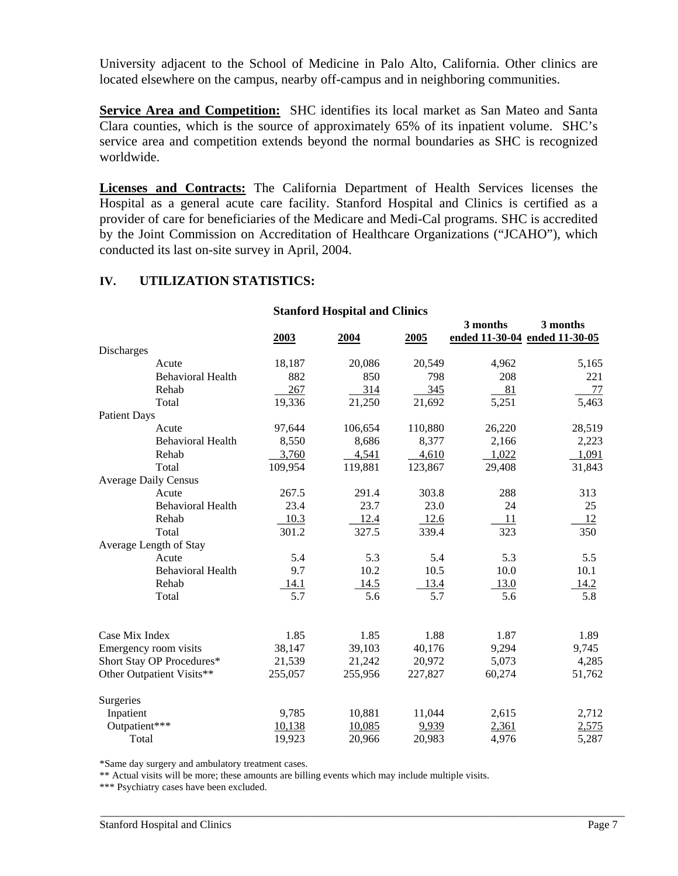University adjacent to the School of Medicine in Palo Alto, California. Other clinics are located elsewhere on the campus, nearby off-campus and in neighboring communities.

**Service Area and Competition:** SHC identifies its local market as San Mateo and Santa Clara counties, which is the source of approximately 65% of its inpatient volume. SHC's service area and competition extends beyond the normal boundaries as SHC is recognized worldwide.

**Licenses and Contracts:** The California Department of Health Services licenses the Hospital as a general acute care facility. Stanford Hospital and Clinics is certified as a provider of care for beneficiaries of the Medicare and Medi-Cal programs. SHC is accredited by the Joint Commission on Accreditation of Healthcare Organizations ("JCAHO"), which conducted its last on-site survey in April, 2004.

# **IV. UTILIZATION STATISTICS:**

### **Stanford Hospital and Clinics 3 months 3 months 2003 2004 2005 ended 11-30-04 ended 11-30-05 Discharges** Acute 18,187 20,086 20,549 4,962 5,165 Behavioral Health 882 850 798 208 221 Rehab 267 314 345 81 77 Total 19,336 21,250 21,692 5,251 5,463 Patient Days Acute 97,644 106,654 110,880 26,220 28,519 Behavioral Health 8,550 8,686 8,377 2,166 2,223 Rehab 1,022 1,091 Total 109,954 119,881 123,867 29,408 31,843 Average Daily Census Acute 267.5 291.4 303.8 288 313 Behavioral Health 23.4 23.7 23.0 24 25 Rehab 10.3 12.4 12.6 11 12 Total 301.2 327.5 339.4 323 350 Average Length of Stay Acute 5.4 5.3 5.4 5.5 5.5 Behavioral Health  $9.7$  10.2 10.5 10.0 10.1 Rehab 14.1 14.5 13.4 13.0 14.2 Total 5.7 5.6 5.7 5.6 5.8 Case Mix Index 1.85 1.85 1.88 1.87 1.89 Emergency room visits 38,147 39,103 40,176 9,294 9,745 Short Stay OP Procedures\* 21,539 21,242 20,972 5,073 4,285 Other Outpatient Visits\*\* 255,057 255,956 227,827 60,274 51,762 Surgeries Inpatient 9,785 10,881 11,044 2,615 2,712 Outpatient\*\*\* 10,138 10,085 9,939 2,361 2,575 Total 19,923 20,966 20,983 4,976 5,287

\_\_\_\_\_\_\_\_\_\_\_\_\_\_\_\_\_\_\_\_\_\_\_\_\_\_\_\_\_\_\_\_\_\_\_\_\_\_\_\_\_\_\_\_\_\_\_\_\_\_\_\_\_\_\_\_\_\_\_\_\_\_\_\_\_\_\_\_\_\_\_\_\_\_\_\_\_\_\_\_\_\_\_\_\_\_\_\_\_\_\_\_\_\_

\*Same day surgery and ambulatory treatment cases.

\*\* Actual visits will be more; these amounts are billing events which may include multiple visits.

\*\*\* Psychiatry cases have been excluded.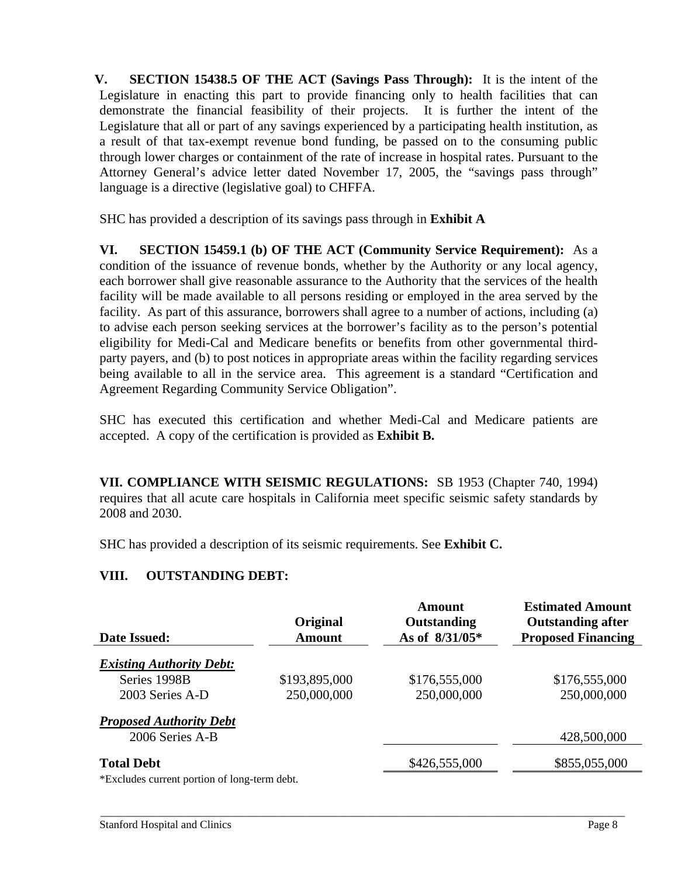**V. SECTION 15438.5 OF THE ACT (Savings Pass Through):** It is the intent of the Legislature in enacting this part to provide financing only to health facilities that can demonstrate the financial feasibility of their projects. It is further the intent of the Legislature that all or part of any savings experienced by a participating health institution, as a result of that tax-exempt revenue bond funding, be passed on to the consuming public through lower charges or containment of the rate of increase in hospital rates. Pursuant to the Attorney General's advice letter dated November 17, 2005, the "savings pass through" language is a directive (legislative goal) to CHFFA.

SHC has provided a description of its savings pass through in **Exhibit A** 

**VI. SECTION 15459.1 (b) OF THE ACT (Community Service Requirement):** As a condition of the issuance of revenue bonds, whether by the Authority or any local agency, each borrower shall give reasonable assurance to the Authority that the services of the health facility will be made available to all persons residing or employed in the area served by the facility. As part of this assurance, borrowers shall agree to a number of actions, including (a) to advise each person seeking services at the borrower's facility as to the person's potential eligibility for Medi-Cal and Medicare benefits or benefits from other governmental thirdparty payers, and (b) to post notices in appropriate areas within the facility regarding services being available to all in the service area. This agreement is a standard "Certification and Agreement Regarding Community Service Obligation".

SHC has executed this certification and whether Medi-Cal and Medicare patients are accepted. A copy of the certification is provided as **Exhibit B.** 

**VII. COMPLIANCE WITH SEISMIC REGULATIONS:** SB 1953 (Chapter 740, 1994) requires that all acute care hospitals in California meet specific seismic safety standards by 2008 and 2030.

SHC has provided a description of its seismic requirements. See **Exhibit C.** 

# **VIII. OUTSTANDING DEBT:**

| Date Issued:                                       | Original<br><b>Amount</b> | Amount<br>Outstanding<br>As of $8/31/05*$ | <b>Estimated Amount</b><br><b>Outstanding after</b><br><b>Proposed Financing</b> |
|----------------------------------------------------|---------------------------|-------------------------------------------|----------------------------------------------------------------------------------|
| <b>Existing Authority Debt:</b>                    |                           |                                           |                                                                                  |
| Series 1998B                                       | \$193,895,000             | \$176,555,000                             | \$176,555,000                                                                    |
| 2003 Series A-D                                    | 250,000,000               | 250,000,000                               | 250,000,000                                                                      |
| <b>Proposed Authority Debt</b>                     |                           |                                           |                                                                                  |
| 2006 Series A-B                                    |                           |                                           | 428,500,000                                                                      |
| <b>Total Debt</b>                                  |                           | \$426,555,000                             | \$855,055,000                                                                    |
| $*F$ valudes current portion of $\log t$ term dobt |                           |                                           |                                                                                  |

\_\_\_\_\_\_\_\_\_\_\_\_\_\_\_\_\_\_\_\_\_\_\_\_\_\_\_\_\_\_\_\_\_\_\_\_\_\_\_\_\_\_\_\_\_\_\_\_\_\_\_\_\_\_\_\_\_\_\_\_\_\_\_\_\_\_\_\_\_\_\_\_\_\_\_\_\_\_\_\_\_\_\_\_\_\_\_\_\_\_\_\_\_\_

\*Excludes current portion of long-term debt.